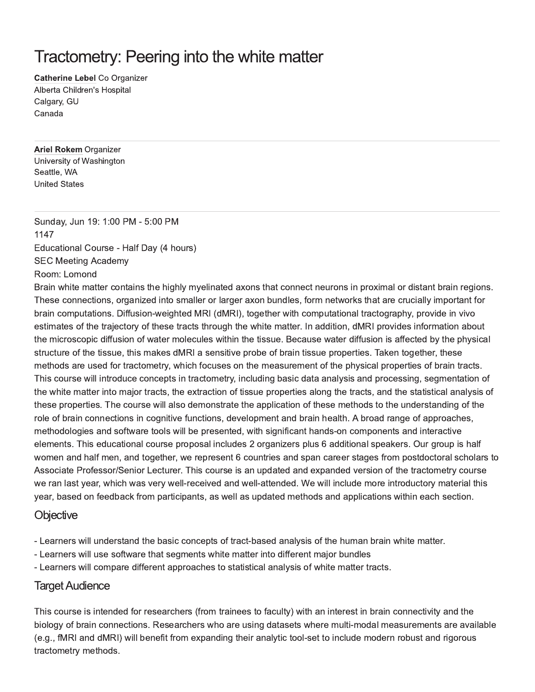# Tractometry: Peering into the white matter

**Catherine Lebel Co Organizer** Alberta Children's Hospital Calgary, GU Canada

**Ariel Rokem Organizer** University of Washington Seattle, WA **United States** 

Sunday, Jun 19: 1:00 PM - 5:00 PM 1147 Educational Course - Half Day (4 hours) **SEC Meeting Academy** Room: Lomond

Brain white matter contains the highly myelinated axons that connect neurons in proximal or distant brain regions. These connections, organized into smaller or larger axon bundles, form networks that are crucially important for brain computations. Diffusion-weighted MRI (dMRI), together with computational tractography, provide in vivo estimates of the trajectory of these tracts through the white matter. In addition, dMRI provides information about the microscopic diffusion of water molecules within the tissue. Because water diffusion is affected by the physical structure of the tissue, this makes dMRI a sensitive probe of brain tissue properties. Taken together, these methods are used for tractometry, which focuses on the measurement of the physical properties of brain tracts. This course will introduce concepts in tractometry, including basic data analysis and processing, segmentation of the white matter into major tracts, the extraction of tissue properties along the tracts, and the statistical analysis of these properties. The course will also demonstrate the application of these methods to the understanding of the role of brain connections in cognitive functions, development and brain health. A broad range of approaches, methodologies and software tools will be presented, with significant hands-on components and interactive elements. This educational course proposal includes 2 organizers plus 6 additional speakers. Our group is half women and half men, and together, we represent 6 countries and span career stages from postdoctoral scholars to Associate Professor/Senior Lecturer. This course is an updated and expanded version of the tractometry course we ran last year, which was very well-received and well-attended. We will include more introductory material this year, based on feedback from participants, as well as updated methods and applications within each section.

## Objective

- Learners will understand the basic concepts of tract-based analysis of the human brain white matter.
- Learners will use software that segments white matter into different major bundles
- Learners will compare different approaches to statistical analysis of white matter tracts.

## **Target Audience**

This course is intended for researchers (from trainees to faculty) with an interest in brain connectivity and the biology of brain connections. Researchers who are using datasets where multi-modal measurements are available (e.g., fMRI and dMRI) will benefit from expanding their analytic tool-set to include modern robust and rigorous tractometry methods.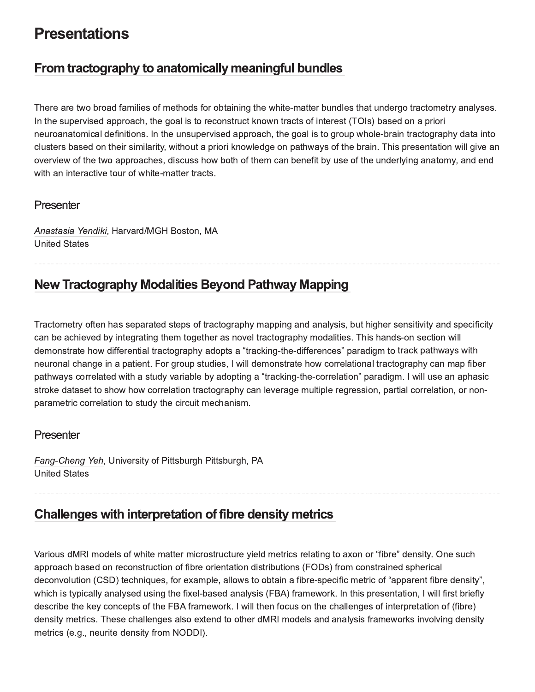## **Presentations**

## From tractography to anatomically meaningful bundles

There are two broad families of methods for obtaining the white-matter bundles that undergo tractometry analyses. In the supervised approach, the goal is to reconstruct known tracts of interest (TOIs) based on a priori neuroanatomical definitions. In the unsupervised approach, the goal is to group whole-brain tractography data into clusters based on their similarity, without a priori knowledge on pathways of the brain. This presentation will give an overview of the two approaches, discuss how both of them can benefit by use of the underlying anatomy, and end with an interactive tour of white-matter tracts.

#### Presenter

Anastasia Yendiki, Harvard/MGH Boston, MA **United States** 

## **New Tractography Modalities Beyond Pathway Mapping**

Tractometry often has separated steps of tractography mapping and analysis, but higher sensitivity and specificity can be achieved by integrating them together as novel tractography modalities. This hands-on section will demonstrate how differential tractography adopts a "tracking-the-differences" paradigm to track pathways with neuronal change in a patient. For group studies, I will demonstrate how correlational tractography can map fiber pathways correlated with a study variable by adopting a "tracking-the-correlation" paradigm. I will use an aphasic stroke dataset to show how correlation tractography can leverage multiple regression, partial correlation, or nonparametric correlation to study the circuit mechanism.

#### Presenter

Fang-Cheng Yeh, University of Pittsburgh Pittsburgh, PA **United States** 

## Challenges with interpretation of fibre density metrics

Various dMRI models of white matter microstructure yield metrics relating to axon or "fibre" density. One such approach based on reconstruction of fibre orientation distributions (FODs) from constrained spherical deconvolution (CSD) techniques, for example, allows to obtain a fibre-specific metric of "apparent fibre density", which is typically analysed using the fixel-based analysis (FBA) framework. In this presentation, I will first briefly describe the key concepts of the FBA framework. I will then focus on the challenges of interpretation of (fibre) density metrics. These challenges also extend to other dMRI models and analysis frameworks involving density metrics (e.g., neurite density from NODDI).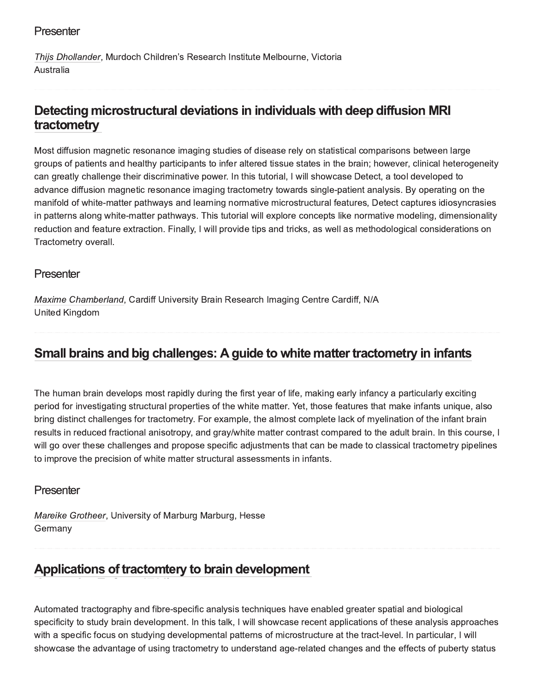## Presenter

Thiis Dhollander, Murdoch Children's Research Institute Melbourne, Victoria Australia

## Detecting microstructural deviations in individuals with deep diffusion MRI tractometry

Most diffusion magnetic resonance imaging studies of disease rely on statistical comparisons between large aroups of patients and healthy participants to infer altered tissue states in the brain; however, clinical heterogeneity can greatly challenge their discriminative power. In this tutorial, I will showcase Detect, a tool developed to advance diffusion magnetic resonance imaging tractometry towards single-patient analysis. By operating on the manifold of white-matter pathways and learning normative microstructural features. Detect captures idiosyncrasies in patterns along white-matter pathways. This tutorial will explore concepts like normative modeling, dimensionality reduction and feature extraction. Finally, I will provide tips and tricks, as well as methodological considerations on Tractometry overall.

### Presenter

Maxime Chamberland, Cardiff University Brain Research Imaging Centre Cardiff, N/A United Kingdom

#### Small brains and big challenges: A guide to white matter tractometry in infants >\*+4'?@)9-A4/B'5@5\*'6C5D'5BEFghI

The human brain develops most rapidly during the first vear of life, making early infancy a particularly exciting period for investigating structural properties of the white matter. Yet, those features that make infants unique, also bring distinct challenges for tractometry. For example, the almost complete lack of myelination of the infant brain results in reduced fractional anisotropy, and grav/white matter contrast compared to the adult brain. In this course, I will go over these challenges and propose specific adiustments that can be made to classical tractometry pipelines to improve the precision of white matter structural assessments in infants.

#### Presenter

Mareike Grotheer, University of Marburg Marburg, Hesse Germany

### Applications of tractomtery to brain development 4/B's and the second control of the second control of the second control of the second control of the second control of the second control of the second control of the second control of the second control of the second con

Automated tractography and fibre-specific analysis techniques have enabled greater spatial and biological specificity to study brain development. In this talk, I will showcase recent applications of these analysis approaches with a specific focus on studving developmental patterns of microstructure at the tract-level. In particular, I will showcase the advantage of using tractometry to understand age-related changes and the effects of puberty status